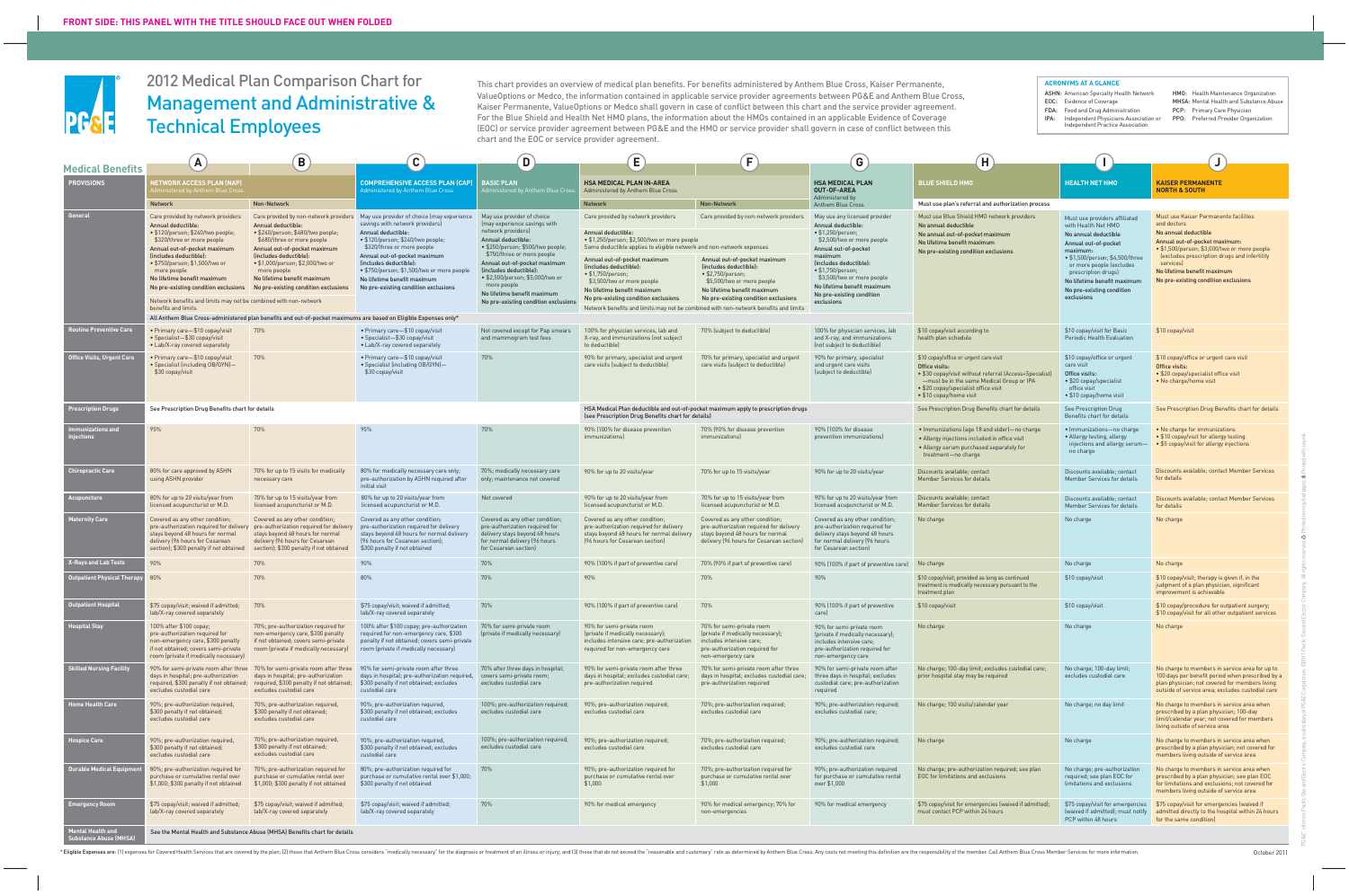# 2012 Medical Plan Comparison Chart for Management and Administrative & Technical Employees

This chart provides an overview of medical plan benefits. For benefits administered by Anthem Blue Cross, Kaiser Permanente, ValueOptions or Medco, the information contained in applicable service provider agreements between PG&E and Anthem Blue Cross, Kaiser Permanente, ValueOptions or Medco shall govern in case of conflict between this chart and the service provider agreement. For the Blue Shield and Health Net HMO plans, the information about the HMOs contained in an applicable Evidence of Coverage (EOC) or service provider agreement between PG&E and the HMO or service provider shall govern in case of conflict between this chart and the EOC or service provider agreement.

| <b>Medical Benefits</b>            | A                                                                                                                                                                                                                                                                                                                                                                                                                          | B                                                                                                                                                                                                                                                                                        | $\overline{c}$                                                                                                                                                                                                                                                                                                                                                                               | D)                                                                                                                                                                                                                                                                                                                                                            | E                                                                                                                                                                                                                                                                                                                                                                                                                                                                                      | $\mathsf{F}$                                                                                                                                                                                                                                             | G                                                                                                                                                                                                                                                                                                                                  | H                                                                                                                                                                                                                                   |                                                                                                                                                                                                                                                                                  |                                                                                                                                                                                                                                                                                                   |
|------------------------------------|----------------------------------------------------------------------------------------------------------------------------------------------------------------------------------------------------------------------------------------------------------------------------------------------------------------------------------------------------------------------------------------------------------------------------|------------------------------------------------------------------------------------------------------------------------------------------------------------------------------------------------------------------------------------------------------------------------------------------|----------------------------------------------------------------------------------------------------------------------------------------------------------------------------------------------------------------------------------------------------------------------------------------------------------------------------------------------------------------------------------------------|---------------------------------------------------------------------------------------------------------------------------------------------------------------------------------------------------------------------------------------------------------------------------------------------------------------------------------------------------------------|----------------------------------------------------------------------------------------------------------------------------------------------------------------------------------------------------------------------------------------------------------------------------------------------------------------------------------------------------------------------------------------------------------------------------------------------------------------------------------------|----------------------------------------------------------------------------------------------------------------------------------------------------------------------------------------------------------------------------------------------------------|------------------------------------------------------------------------------------------------------------------------------------------------------------------------------------------------------------------------------------------------------------------------------------------------------------------------------------|-------------------------------------------------------------------------------------------------------------------------------------------------------------------------------------------------------------------------------------|----------------------------------------------------------------------------------------------------------------------------------------------------------------------------------------------------------------------------------------------------------------------------------|---------------------------------------------------------------------------------------------------------------------------------------------------------------------------------------------------------------------------------------------------------------------------------------------------|
| <b>PROVISIONS</b>                  | <b>ETWORK ACCESS PLAN (NAP)</b><br>nistered by Anthem Blue Cro                                                                                                                                                                                                                                                                                                                                                             |                                                                                                                                                                                                                                                                                          | <b>COMPREHENSIVE ACCESS PLAN (CAP)</b><br><b>Administered by Anthem Blue Cross</b>                                                                                                                                                                                                                                                                                                           | <b>BASIC PLAN</b><br>Iministered by Anthem Blue Cro                                                                                                                                                                                                                                                                                                           | <b>HSA MEDICAL PLAN IN-AREA</b><br>Administered by Anthem Blue Cross                                                                                                                                                                                                                                                                                                                                                                                                                   |                                                                                                                                                                                                                                                          | <b>HSA MEDICAL PLAN</b><br>OUT-OF-AREA<br>Administered by                                                                                                                                                                                                                                                                          | <b>BLUE SHIELD HMO</b>                                                                                                                                                                                                              | <b>HEALTH NET HMO</b>                                                                                                                                                                                                                                                            | <b>KAISER PERMANENTE</b><br><b>NORTH &amp; SOUTH</b>                                                                                                                                                                                                                                              |
| General                            | <b>Network</b><br>Care provided by network providers<br>Annual deductible:<br>• \$120/person; \$240/two people;<br>\$320/three or more people<br>Annual out-of-pocket maximum<br>(includes deductible):<br>• \$750/person; \$1,500/two or<br>more people<br>No lifetime benefit maximum<br>No pre-existing condition exclusions<br>Network benefits and limits may not be combined with non-network<br>benefits and limits | Non-Network<br>Annual deductible:<br>· \$240/person; \$480/two people;<br>\$680/three or more people<br>Annual out-of-pocket maximum<br>(includes deductible):<br>• \$1,000/person: \$2,000/two or<br>more people<br>No lifetime benefit maximum<br>No pre-existing condition exclusions | Care provided by non-network providers May use provider of choice (may experience<br>savings with network providers)<br>Annual deductible:<br>• \$120/person; \$240/two people;<br>\$320/three or more people<br>Annual out-of-pocket maximum<br>(includes deductible):<br>• \$750/person; \$1,500/two or more people<br>No lifetime benefit maximum<br>No pre-existing condition exclusions | May use provider of choice<br>(may experience savings with<br>network providers)<br>Annual deductible:<br>· \$250/person; \$500/two people;<br>\$750/three or more people<br>Annual out-of-pocket maximum<br>(includes deductible):<br>• \$2,500/person; \$5,000/two or<br>more people<br>No lifetime benefit maximum<br>No pre-existing condition exclusions | <b>Network</b><br>Care provided by network providers<br>Annual deductible:<br>• \$1,250/person; \$2,500/two or more people<br>Same deductible applies to eligible network and non-network expenses<br>Annual out-of-pocket maximum<br>(includes deductible):<br>$\bullet$ \$1,750/person;<br>\$3,500/two or more people<br>No lifetime benefit maximum<br>No pre-existing condition exclusions<br>Network benefits and limits may not be combined with non-network benefits and limits | <b>Non-Network</b><br>Care provided by non-network providers<br>Annual out-of-pocket maximum<br>(includes deductible):<br>$\bullet$ \$2,750/person;<br>\$5,500/two or more people<br>No lifetime benefit maximum<br>No pre-existing condition exclusions | <b>Anthem Blue Cross</b><br>May use any licensed provider<br>Annual deductible:<br>$\cdot$ \$1,250/person;<br>\$2,500/two or more people<br>Annual out-of-pocket<br>maximum<br>(includes deductible):<br>• \$1,750/person;<br>\$3,500/two or more people<br>No lifetime benefit maximum<br>No pre-existing condition<br>exclusions | Must use plan's referral and authorization process<br>Must use Blue Shield HMO network providers<br>No annual deductible<br>No annual out-of-pocket maximum<br>No lifetime benefit maximum<br>No pre-existing condition exclusions  | Must use providers affiliated<br>with Health Net HMO<br>No annual deductible<br>Annual out-of-pocket<br>maximum:<br>• \$1,500/person; \$4,500/three<br>or more people (excludes<br>prescription drugs)<br>No lifetime benefit maximum<br>No pre-existing condition<br>exclusions | Must use Kaiser Permanente facilities<br>and doctors<br>No annual deductible<br>Annual out-of-pocket maximum:<br>· \$1,500/person; \$3,000/two or more people<br>lexcludes prescription drugs and infertility<br>services)<br>No lifetime benefit maximum<br>No pre-existing condition exclusions |
| outine Preventive Care!            | Primary care—\$10 copay/visit<br>· Specialist-\$30 copay/visit                                                                                                                                                                                                                                                                                                                                                             | All Anthem Blue Cross-administered plan benefits and out-of-pocket maximums are based on Eligible Expenses only*<br>70%                                                                                                                                                                  | • Primary care-\$10 copay/visit<br>• Specialist-\$30 copay/visit                                                                                                                                                                                                                                                                                                                             | Not covered except for Pap smears<br>and mammogram test fees                                                                                                                                                                                                                                                                                                  | 100% for physician services, lab and<br>X-ray, and immunizations (not subject                                                                                                                                                                                                                                                                                                                                                                                                          | 70% (subject to deductible)                                                                                                                                                                                                                              | 100% for physician services, lab<br>and X-ray, and immunizations                                                                                                                                                                                                                                                                   | \$10 copay/visit according to<br>health plan schedule                                                                                                                                                                               | \$10 copay/visit for Basic<br>Periodic Health Evaluation                                                                                                                                                                                                                         | \$10 copay/visit                                                                                                                                                                                                                                                                                  |
| <b>Office Visits, Urgent Care</b>  | • Lab/X-ray covered separately<br>Primary care-\$10 copay/visit<br>Specialist (including OB/GYN)—<br>\$30 copay/visit                                                                                                                                                                                                                                                                                                      | 70%                                                                                                                                                                                                                                                                                      | • Lab/X-ray covered separately<br>• Primary care-\$10 copay/visit<br>• Specialist (including OB/GYN)-<br>\$30 copay/visit                                                                                                                                                                                                                                                                    | 70%                                                                                                                                                                                                                                                                                                                                                           | to deductible)<br>90% for primary, specialist and urgent<br>care visits (subject to deductible)                                                                                                                                                                                                                                                                                                                                                                                        | 70% for primary, specialist and urgent<br>care visits (subject to deductible)                                                                                                                                                                            | (not subject to deductible)<br>90% for primary, specialist<br>and urgent care visits<br>(subject to deductible)                                                                                                                                                                                                                    | \$10 copay/office or urgent care visit<br>Office visits:<br>• \$30 copay/visit without referral (Access+Specialist)<br>-must be in the same Medical Group or IPA<br>• \$20 copay/specialist office visit<br>• \$10 copay/home visit | \$10 copay/office or urgent<br>care visit<br>Office visits:<br>• \$20 copay/specialist<br>office visit<br>• \$10 copay/home visit                                                                                                                                                | \$10 copay/office or urgent care visit<br>Office visits:<br>• \$20 copay/specialist office visit<br>• No charge/home visit                                                                                                                                                                        |
| <b>Prescription Drugs</b>          | See Prescription Drug Benefits chart for details                                                                                                                                                                                                                                                                                                                                                                           |                                                                                                                                                                                                                                                                                          |                                                                                                                                                                                                                                                                                                                                                                                              |                                                                                                                                                                                                                                                                                                                                                               | (see Prescription Drug Benefits chart for details)                                                                                                                                                                                                                                                                                                                                                                                                                                     | HSA Medical Plan deductible and out-of-pocket maximum apply to prescription drugs                                                                                                                                                                        |                                                                                                                                                                                                                                                                                                                                    | See Prescription Drug Benefits chart for details                                                                                                                                                                                    | See Prescription Drug<br>Benefits chart for details                                                                                                                                                                                                                              | See Prescription Drug Benefits chart for details                                                                                                                                                                                                                                                  |
| nunizations and<br>ijections       | 95%                                                                                                                                                                                                                                                                                                                                                                                                                        | 70%                                                                                                                                                                                                                                                                                      | 95%                                                                                                                                                                                                                                                                                                                                                                                          | 70%                                                                                                                                                                                                                                                                                                                                                           | 90% (100% for disease prevention<br>immunizations)                                                                                                                                                                                                                                                                                                                                                                                                                                     | 70% (90% for disease prevention<br><i>immunizations]</i>                                                                                                                                                                                                 | 90% (100% for disease<br>prevention immunizations)                                                                                                                                                                                                                                                                                 | . Immunizations (age 18 and older)-no charge<br>• Allergy injections included in office visit<br>. Allergy serum purchased separately for<br>treatment-no charge                                                                    | · Immunizations-no charge<br>• Allergy testing, allergy<br>no charge                                                                                                                                                                                                             | . No charge for immunizations<br>• \$10 copay/visit for allergy testing<br>injections and allergy serum- • \$5 copay/visit for allergy injections                                                                                                                                                 |
| <b>Chiropractic Care</b>           | 80% for care approved by ASHN<br>using ASHN provider                                                                                                                                                                                                                                                                                                                                                                       | 70% for up to 15 visits for medically<br>necessary care                                                                                                                                                                                                                                  | 80% for medically necessary care only;<br>pre-authorization by ASHN required after<br>initial visit                                                                                                                                                                                                                                                                                          | 70%; medically necessary care<br>only; maintenance not covered                                                                                                                                                                                                                                                                                                | 90% for up to 20 visits/year                                                                                                                                                                                                                                                                                                                                                                                                                                                           | 70% for up to 15 visits/year                                                                                                                                                                                                                             | 90% for up to 20 visits/year                                                                                                                                                                                                                                                                                                       | Discounts available: contact<br>Member Services for details                                                                                                                                                                         | Discounts available: contact<br>Member Services for details                                                                                                                                                                                                                      | Discounts available: contact Member Services<br>for details                                                                                                                                                                                                                                       |
| Acupuncture                        | 80% for up to 20 visits/year from<br>licensed acupuncturist or M.D.                                                                                                                                                                                                                                                                                                                                                        | 70% for up to 15 visits/year from<br>licensed acupuncturist or M.D.                                                                                                                                                                                                                      | 80% for up to 20 visits/year from<br>licensed acupuncturist or M.D.                                                                                                                                                                                                                                                                                                                          | Not covered                                                                                                                                                                                                                                                                                                                                                   | 90% for up to 20 visits/year from<br>licensed acupuncturist or M.D.                                                                                                                                                                                                                                                                                                                                                                                                                    | 70% for up to 15 visits/year from<br>licensed acupuncturist or M.D.                                                                                                                                                                                      | 90% for up to 20 visits/year from<br>licensed acupuncturist or M.D.                                                                                                                                                                                                                                                                | Discounts available; contact<br>Member Services for details                                                                                                                                                                         | Discounts available; contact<br>Member Services for details                                                                                                                                                                                                                      | Discounts available; contact Member Services<br>for details                                                                                                                                                                                                                                       |
| <b>Maternity Care</b>              | Covered as any other condition;<br>stays beyond 48 hours for normal<br>delivery (96 hours for Cesarean<br>section); \$300 penalty if not obtained                                                                                                                                                                                                                                                                          | Covered as any other condition;<br>pre-authorization required for delivery pre-authorization required for delivery<br>stays beyond 48 hours for normal<br>delivery (96 hours for Cesarean<br>section); \$300 penalty if not obtained                                                     | Covered as any other condition;<br>pre-authorization required for delivery<br>stays beyond 48 hours for normal delivery<br>[96 hours for Cesarean section];<br>\$300 penalty if not obtained                                                                                                                                                                                                 | Covered as any other condition;<br>pre-authorization required for<br>delivery stays beyond 48 hours<br>for normal delivery (96 hours<br>for Cesarean section)                                                                                                                                                                                                 | Covered as any other condition;<br>pre-authorization required for delivery<br>stays beyond 48 hours for normal delivery<br>[96 hours for Cesarean section]                                                                                                                                                                                                                                                                                                                             | Covered as any other condition;<br>pre-authorization required for delivery<br>stays beyond 48 hours for normal<br>delivery (96 hours for Cesarean section)                                                                                               | Covered as any other condition;<br>pre-authorization required for<br>delivery stays beyond 48 hours<br>for normal delivery (96 hours<br>for Cesarean section)                                                                                                                                                                      | No charge                                                                                                                                                                                                                           | No charge                                                                                                                                                                                                                                                                        | No charge                                                                                                                                                                                                                                                                                         |
| <b>X-Rays and Lab Tests</b>        | 90%                                                                                                                                                                                                                                                                                                                                                                                                                        | 70%                                                                                                                                                                                                                                                                                      | 90%                                                                                                                                                                                                                                                                                                                                                                                          | 70%                                                                                                                                                                                                                                                                                                                                                           | 90% (100% if part of preventive care)                                                                                                                                                                                                                                                                                                                                                                                                                                                  | 70% (90% if part of preventive care)                                                                                                                                                                                                                     | 90% (100% if part of preventive care) No charge                                                                                                                                                                                                                                                                                    |                                                                                                                                                                                                                                     | No charge                                                                                                                                                                                                                                                                        | No charge                                                                                                                                                                                                                                                                                         |
| <b>Outpatient Physical Therapy</b> | 80%                                                                                                                                                                                                                                                                                                                                                                                                                        | 70%                                                                                                                                                                                                                                                                                      | 80%                                                                                                                                                                                                                                                                                                                                                                                          | 70%                                                                                                                                                                                                                                                                                                                                                           | 90%                                                                                                                                                                                                                                                                                                                                                                                                                                                                                    | 70%                                                                                                                                                                                                                                                      | 90%                                                                                                                                                                                                                                                                                                                                | \$10 copay/visit; provided as long as continued<br>treatment is medically necessary pursuant to the<br>treatment plan                                                                                                               | \$10 copay/visit                                                                                                                                                                                                                                                                 | \$10 copay/visit; therapy is given if, in the<br>judgment of a plan physician, significant<br>improvement is achievable                                                                                                                                                                           |
| utpatient Hospital                 | \$75 copay/visit: waived if admitted:<br>lab/X-ray covered separately                                                                                                                                                                                                                                                                                                                                                      | 70%                                                                                                                                                                                                                                                                                      | \$75 copay/visit; waived if admitted;<br>lab/X-ray covered separately                                                                                                                                                                                                                                                                                                                        | 70%                                                                                                                                                                                                                                                                                                                                                           | 90% (100% if part of preventive care)                                                                                                                                                                                                                                                                                                                                                                                                                                                  | 70%                                                                                                                                                                                                                                                      | 90% (100% if part of preventive                                                                                                                                                                                                                                                                                                    | \$10 copay/visit                                                                                                                                                                                                                    | \$10 copay/visit                                                                                                                                                                                                                                                                 | \$10 copay/procedure for outpatient surgery;<br>\$10 copay/visit for all other outpatient services                                                                                                                                                                                                |
| <b>lospital Stay</b>               | 100% after \$100 copay;<br>pre-authorization required for<br>non-emergency care, \$300 penalty<br>if not obtained; covers semi-private<br>room (private if medically necessary)                                                                                                                                                                                                                                            | 70%; pre-authorization required for<br>non-emergency care, \$300 penalty<br>if not obtained; covers semi-private<br>room (private if medically necessary)                                                                                                                                | 100% after \$100 copay; pre-authorization<br>required for non-emergency care, \$300<br>penalty if not obtained; covers semi-private<br>room (private if medically necessary)                                                                                                                                                                                                                 | 70% for semi-private room<br>(private if medically necessary)                                                                                                                                                                                                                                                                                                 | 90% for semi-private room<br>(private if medically necessary);<br>includes intensive care; pre-authorization<br>required for non-emergency care                                                                                                                                                                                                                                                                                                                                        | 70% for semi-private room<br>(private if medically necessary);<br>includes intensive care;<br>pre-authorization required for<br>non-emergency care                                                                                                       | 90% for semi-private room<br>(private if medically necessary);<br>includes intensive care;<br>pre-authorization required for<br>non-emergency care                                                                                                                                                                                 | No charge                                                                                                                                                                                                                           | No charge                                                                                                                                                                                                                                                                        | No charge                                                                                                                                                                                                                                                                                         |
| <b>Skilled Nursing Facility</b>    | days in hospital; pre-authorization<br>excludes custodial care                                                                                                                                                                                                                                                                                                                                                             | 90% for semi-private room after three 70% for semi-private room after three<br>days in hospital; pre-authorization<br>required, \$300 penalty if not obtained; required, \$300 penalty if not obtained;<br>excludes custodial care                                                       | 90% for semi-private room after three<br>days in hospital; pre-authorization required,<br>\$300 penalty if not obtained; excludes<br>custodial care                                                                                                                                                                                                                                          | 70% after three days in hospital;<br>covers semi-private room;<br>excludes custodial care                                                                                                                                                                                                                                                                     | 90% for semi-private room after three<br>days in hospital; excludes custodial care<br>pre-authorization required                                                                                                                                                                                                                                                                                                                                                                       | 70% for semi-private room after three<br>days in hospital; excludes custodial care;<br>pre-authorization required                                                                                                                                        | 90% for semi-private room after<br>three days in hospital; excludes<br>custodial care; pre-authorization<br>required                                                                                                                                                                                                               | No charge; 100-day limit; excludes custodial care;<br>prior hospital stay may be required                                                                                                                                           | No charge; 100-day limit;<br>excludes custodial care                                                                                                                                                                                                                             | No charge to members in service area for up to<br>100 days per benefit period when prescribed by a<br>plan physician; not covered for members living<br>outside of service area; excludes custodial care                                                                                          |
| <b>Iome Health Care</b>            | 90%; pre-authorization required,<br>\$300 penalty if not obtained;<br>excludes custodial care                                                                                                                                                                                                                                                                                                                              | 70%; pre-authorization required,<br>\$300 penalty if not obtained;<br>excludes custodial care                                                                                                                                                                                            | 90%; pre-authorization required,<br>\$300 penalty if not obtained; excludes<br>custodial care                                                                                                                                                                                                                                                                                                | 100%; pre-authorization required;<br>excludes custodial care                                                                                                                                                                                                                                                                                                  | 90%; pre-authorization required;<br>excludes custodial care                                                                                                                                                                                                                                                                                                                                                                                                                            | 70%; pre-authorization required;<br>excludes custodial care                                                                                                                                                                                              | 90%; pre-authorization required;<br>excludes custodial care:                                                                                                                                                                                                                                                                       | No charge; 100 visits/calendar year                                                                                                                                                                                                 | No charge; no day limit                                                                                                                                                                                                                                                          | No charge to members in service area when<br>prescribed by a plan physician; 100-day<br>limit/calendar year; not covered for members<br>living outside of service area                                                                                                                            |
| lospice Care                       | 90%; pre-authorization required,<br>\$300 penalty if not obtained;<br>excludes custodial care                                                                                                                                                                                                                                                                                                                              | 70%; pre-authorization required,<br>\$300 penalty if not obtained;<br>excludes custodial care                                                                                                                                                                                            | 90%; pre-authorization required,<br>\$300 penalty if not obtained; excludes<br>custodial care                                                                                                                                                                                                                                                                                                | 100%; pre-authorization required,<br>excludes custodial care                                                                                                                                                                                                                                                                                                  | 90%; pre-authorization required;<br>excludes custodial care                                                                                                                                                                                                                                                                                                                                                                                                                            | 70%; pre-authorization required;<br>excludes custodial care                                                                                                                                                                                              | 90%; pre-authorization required;<br>excludes custodial care                                                                                                                                                                                                                                                                        | No charge                                                                                                                                                                                                                           | No charge                                                                                                                                                                                                                                                                        | No charge to members in service area when<br>prescribed by a plan physician; not covered for<br>members living outside of service area                                                                                                                                                            |
| <b>Durable Medical Equipm</b>      | 80%; pre-authorization required for<br>purchase or cumulative rental over<br>\$1,000; \$300 penalty if not obtained                                                                                                                                                                                                                                                                                                        | 70%; pre-authorization required for<br>purchase or cumulative rental over<br>\$1,000; \$300 penalty if not obtained                                                                                                                                                                      | 80%; pre-authorization required for<br>purchase or cumulative rental over \$1,000;<br>\$300 penalty if not obtained                                                                                                                                                                                                                                                                          | 70%                                                                                                                                                                                                                                                                                                                                                           | 90%; pre-authorization required for<br>purchase or cumulative rental over<br>\$1,000                                                                                                                                                                                                                                                                                                                                                                                                   | 70%; pre-authorization required for<br>purchase or cumulative rental over<br>\$1,000                                                                                                                                                                     | 90%; pre-authorization required<br>for purchase or cumulative rental<br>over \$1,000                                                                                                                                                                                                                                               | No charge; pre-authorization required; see plan<br>EOC for limitations and exclusions                                                                                                                                               | No charge; pre-authorization<br>required; see plan EOC for<br>limitations and exclusions                                                                                                                                                                                         | No charge to members in service area when<br>prescribed by a plan physician; see plan EOC<br>for limitations and exclusions; not covered for<br>members living outside of service area                                                                                                            |
| Emergency Room                     | \$75 copay/visit; waived if admitted;<br>lab/X-ray covered separately                                                                                                                                                                                                                                                                                                                                                      | \$75 copay/visit; waived if admitted;<br>lab/X-ray covered separately                                                                                                                                                                                                                    | \$75 copay/visit; waived if admitted;<br>lab/X-ray covered separately                                                                                                                                                                                                                                                                                                                        | 70%                                                                                                                                                                                                                                                                                                                                                           | 90% for medical emergency                                                                                                                                                                                                                                                                                                                                                                                                                                                              | 90% for medical emergency; 70% for<br>non-emergencies                                                                                                                                                                                                    | 90% for medical emergency                                                                                                                                                                                                                                                                                                          | \$75 copay/visit for emergencies (waived if admitted)<br>must contact PCP within 24 hours                                                                                                                                           | \$75 copay/visit for emergencies<br>(waived if admitted); must notify<br>PCP within 48 hours                                                                                                                                                                                     | \$75 copay/visit for emergencies (waived if<br>admitted directly to the hospital within 24 hours<br>for the same condition)                                                                                                                                                                       |
| lental Health and                  |                                                                                                                                                                                                                                                                                                                                                                                                                            | See the Mental Health and Substance Abuse (MHSA) Benefits chart for details                                                                                                                                                                                                              |                                                                                                                                                                                                                                                                                                                                                                                              |                                                                                                                                                                                                                                                                                                                                                               |                                                                                                                                                                                                                                                                                                                                                                                                                                                                                        |                                                                                                                                                                                                                                                          |                                                                                                                                                                                                                                                                                                                                    |                                                                                                                                                                                                                                     |                                                                                                                                                                                                                                                                                  |                                                                                                                                                                                                                                                                                                   |

\*Eligible Expenses are: (1) expenses for Covered Health Services that are covered by the plan; (2) those that Anthem Blue Cross considers "medically necessary" for the diagnosis or treatment of an illness or injury; and (3



**Substance Abuse (MHSA)** 

#### **ACRONYMS AT A GLANCE**

ASHN: American Specialty Health Network EOC: Evidence of Coverage FDA: Food and Drug Administration

IPA: Independent Physicians Association or Independent Practice Association

HMO: Health Maintenance Organization

- MHSA: Mental Health and Substance Abuse PCP: Primary Care Physician
- 
- PPO: Preferred Provider Organization